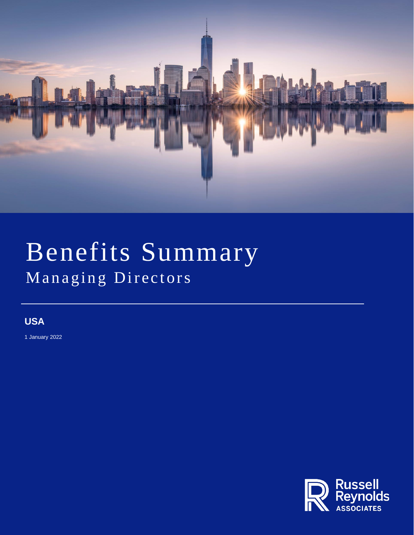

# Benefits Summary Managing Directors

## **USA**

1 January 2022

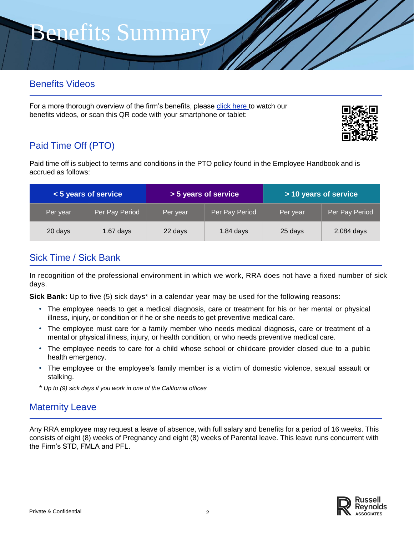## Benefits Videos

For a more thorough overview of the firm's benefits, please [click here](https://www.russellreynolds.com/benefitsvideos) to watch our benefits videos, or scan this QR code with your smartphone or tablet:



## Paid Time Off (PTO)

Paid time off is subject to terms and conditions in the PTO policy found in the Employee Handbook and is accrued as follows:

| <5 years of service |                | > 5 years of service |                | > 10 years of service |                |
|---------------------|----------------|----------------------|----------------|-----------------------|----------------|
| Per year            | Per Pay Period | Per year             | Per Pay Period | Per year              | Per Pay Period |
| 20 days             | $1.67$ days    | 22 days              | $1.84$ days    | 25 days               | 2.084 days     |

## Sick Time / Sick Bank

In recognition of the professional environment in which we work, RRA does not have a fixed number of sick days.

**Sick Bank:** Up to five (5) sick days\* in a calendar year may be used for the following reasons:

- The employee needs to get a medical diagnosis, care or treatment for his or her mental or physical illness, injury, or condition or if he or she needs to get preventive medical care.
- The employee must care for a family member who needs medical diagnosis, care or treatment of a mental or physical illness, injury, or health condition, or who needs preventive medical care.
- The employee needs to care for a child whose school or childcare provider closed due to a public health emergency.
- The employee or the employee's family member is a victim of domestic violence, sexual assault or stalking.
- *\* Up to (9) sick days if you work in one of the California offices*

### Maternity Leave

Any RRA employee may request a leave of absence, with full salary and benefits for a period of 16 weeks. This consists of eight (8) weeks of Pregnancy and eight (8) weeks of Parental leave. This leave runs concurrent with the Firm's STD, FMLA and PFL.

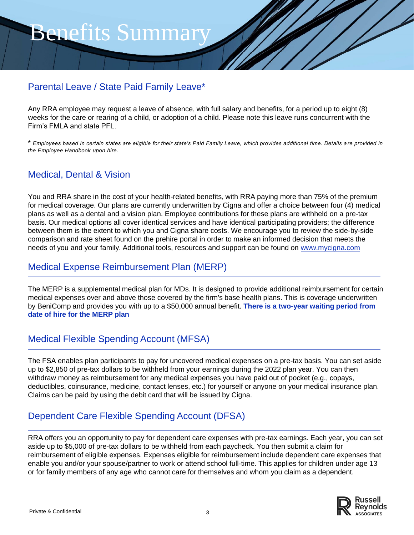## Parental Leave / State Paid Family Leave\*

Any RRA employee may request a leave of absence, with full salary and benefits, for a period up to eight (8) weeks for the care or rearing of a child, or adoption of a child. Please note this leave runs concurrent with the Firm's FMLA and state PFL.

\* *Employees based in certain states are eligible for their state's Paid Family Leave, which provides additional time. Details a re provided in the Employee Handbook upon hire.*

## Medical, Dental & Vision

You and RRA share in the cost of your health-related benefits, with RRA paying more than 75% of the premium for medical coverage. Our plans are currently underwritten by Cigna and offer a choice between four (4) medical plans as well as a dental and a vision plan. Employee contributions for these plans are withheld on a pre-tax basis. Our medical options all cover identical services and have identical participating providers; the difference between them is the extent to which you and Cigna share costs. We encourage you to review the side-by-side comparison and rate sheet found on the prehire portal in order to make an informed decision that meets the needs of you and your family. Additional tools, resources and support can be found on [www.mycigna.com](http://www.mycigna.com/)

### Medical Expense Reimbursement Plan (MERP)

The MERP is a supplemental medical plan for MDs. It is designed to provide additional reimbursement for certain medical expenses over and above those covered by the firm's base health plans. This is coverage underwritten by BeniComp and provides you with up to a \$50,000 annual benefit. **There is a two-year waiting period from date of hire for the MERP plan**

## Medical Flexible Spending Account (MFSA)

The FSA enables plan participants to pay for uncovered medical expenses on a pre-tax basis. You can set aside up to \$2,850 of pre-tax dollars to be withheld from your earnings during the 2022 plan year. You can then withdraw money as reimbursement for any medical expenses you have paid out of pocket (e.g., copays, deductibles, coinsurance, medicine, contact lenses, etc.) for yourself or anyone on your medical insurance plan. Claims can be paid by using the debit card that will be issued by Cigna.

## Dependent Care Flexible Spending Account (DFSA)

RRA offers you an opportunity to pay for dependent care expenses with pre-tax earnings. Each year, you can set aside up to \$5,000 of pre-tax dollars to be withheld from each paycheck. You then submit a claim for reimbursement of eligible expenses. Expenses eligible for reimbursement include dependent care expenses that enable you and/or your spouse/partner to work or attend school full-time. This applies for children under age 13 or for family members of any age who cannot care for themselves and whom you claim as a dependent.

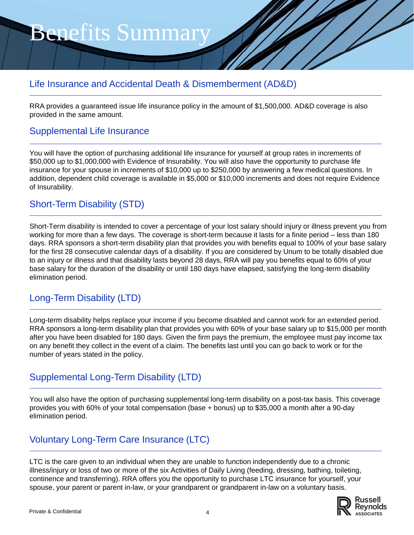## Life Insurance and Accidental Death & Dismemberment (AD&D)

RRA provides a guaranteed issue life insurance policy in the amount of \$1,500,000. AD&D coverage is also provided in the same amount.

#### Supplemental Life Insurance

You will have the option of purchasing additional life insurance for yourself at group rates in increments of \$50,000 up to \$1,000,000 with Evidence of Insurability. You will also have the opportunity to purchase life insurance for your spouse in increments of \$10,000 up to \$250,000 by answering a few medical questions. In addition, dependent child coverage is available in \$5,000 or \$10,000 increments and does not require Evidence of Insurability.

### Short-Term Disability (STD)

Short-Term disability is intended to cover a percentage of your lost salary should injury or illness prevent you from working for more than a few days. The coverage is short-term because it lasts for a finite period – less than 180 days. RRA sponsors a short-term disability plan that provides you with benefits equal to 100% of your base salary for the first 28 consecutive calendar days of a disability. If you are considered by Unum to be totally disabled due to an injury or illness and that disability lasts beyond 28 days, RRA will pay you benefits equal to 60% of your base salary for the duration of the disability or until 180 days have elapsed, satisfying the long-term disability elimination period.

## Long-Term Disability (LTD)

Long-term disability helps replace your income if you become disabled and cannot work for an extended period. RRA sponsors a long-term disability plan that provides you with 60% of your base salary up to \$15,000 per month after you have been disabled for 180 days. Given the firm pays the premium, the employee must pay income tax on any benefit they collect in the event of a claim. The benefits last until you can go back to work or for the number of years stated in the policy.

### Supplemental Long-Term Disability (LTD)

You will also have the option of purchasing supplemental long-term disability on a post-tax basis. This coverage provides you with 60% of your total compensation (base + bonus) up to \$35,000 a month after a 90-day elimination period.

## Voluntary Long-Term Care Insurance (LTC)

LTC is the care given to an individual when they are unable to function independently due to a chronic illness/injury or loss of two or more of the six Activities of Daily Living (feeding, dressing, bathing, toileting, continence and transferring). RRA offers you the opportunity to purchase LTC insurance for yourself, your spouse, your parent or parent in-law, or your grandparent or grandparent in-law on a voluntary basis.

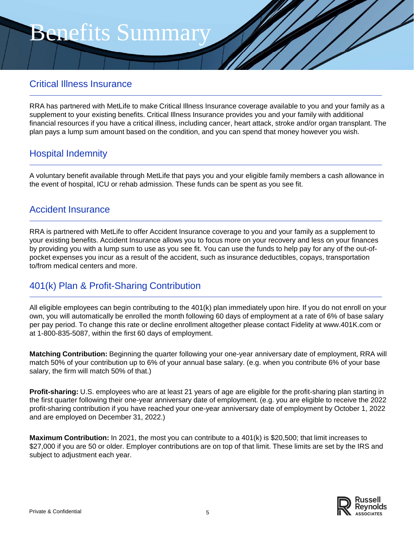### Critical Illness Insurance

RRA has partnered with MetLife to make Critical Illness Insurance coverage available to you and your family as a supplement to your existing benefits. Critical Illness Insurance provides you and your family with additional financial resources if you have a critical illness, including cancer, heart attack, stroke and/or organ transplant. The plan pays a lump sum amount based on the condition, and you can spend that money however you wish.

## Hospital Indemnity

A voluntary benefit available through MetLife that pays you and your eligible family members a cash allowance in the event of hospital, ICU or rehab admission. These funds can be spent as you see fit.

#### Accident Insurance

RRA is partnered with MetLife to offer Accident Insurance coverage to you and your family as a supplement to your existing benefits. Accident Insurance allows you to focus more on your recovery and less on your finances by providing you with a lump sum to use as you see fit. You can use the funds to help pay for any of the out-ofpocket expenses you incur as a result of the accident, such as insurance deductibles, copays, transportation to/from medical centers and more.

### 401(k) Plan & Profit-Sharing Contribution

All eligible employees can begin contributing to the 401(k) plan immediately upon hire. If you do not enroll on your own, you will automatically be enrolled the month following 60 days of employment at a rate of 6% of base salary per pay period. To change this rate or decline enrollment altogether please contact Fidelity at www.401K.com or at 1-800-835-5087, within the first 60 days of employment.

**Matching Contribution:** Beginning the quarter following your one-year anniversary date of employment, RRA will match 50% of your contribution up to 6% of your annual base salary. (e.g. when you contribute 6% of your base salary, the firm will match 50% of that.)

**Profit-sharing:** U.S. employees who are at least 21 years of age are eligible for the profit-sharing plan starting in the first quarter following their one-year anniversary date of employment. (e.g. you are eligible to receive the 2022 profit-sharing contribution if you have reached your one-year anniversary date of employment by October 1, 2022 and are employed on December 31, 2022.)

**Maximum Contribution:** In 2021, the most you can contribute to a 401(k) is \$20,500; that limit increases to \$27,000 if you are 50 or older. Employer contributions are on top of that limit. These limits are set by the IRS and subject to adjustment each year.

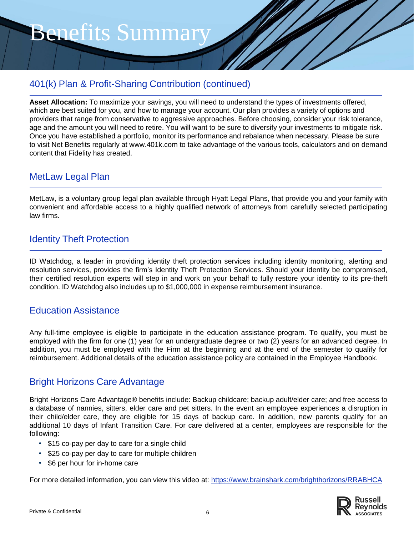## 401(k) Plan & Profit-Sharing Contribution (continued)

**Asset Allocation:** To maximize your savings, you will need to understand the types of investments offered, which are best suited for you, and how to manage your account. Our plan provides a variety of options and providers that range from conservative to aggressive approaches. Before choosing, consider your risk tolerance, age and the amount you will need to retire. You will want to be sure to diversify your investments to mitigate risk. Once you have established a portfolio, monitor its performance and rebalance when necessary. Please be sure to visit Net Benefits regularly at www.401k.com to take advantage of the various tools, calculators and on demand content that Fidelity has created.

#### MetLaw Legal Plan

MetLaw, is a voluntary group legal plan available through Hyatt Legal Plans, that provide you and your family with convenient and affordable access to a highly qualified network of attorneys from carefully selected participating law firms.

### Identity Theft Protection

ID Watchdog, a leader in providing identity theft protection services including identity monitoring, alerting and resolution services, provides the firm's Identity Theft Protection Services. Should your identity be compromised, their certified resolution experts will step in and work on your behalf to fully restore your identity to its pre-theft condition. ID Watchdog also includes up to \$1,000,000 in expense reimbursement insurance.

#### Education Assistance

Any full-time employee is eligible to participate in the education assistance program. To qualify, you must be employed with the firm for one (1) year for an undergraduate degree or two (2) years for an advanced degree. In addition, you must be employed with the Firm at the beginning and at the end of the semester to qualify for reimbursement. Additional details of the education assistance policy are contained in the Employee Handbook.

## Bright Horizons Care Advantage

Bright Horizons Care Advantage® benefits include: Backup childcare; backup adult/elder care; and free access to a database of nannies, sitters, elder care and pet sitters. In the event an employee experiences a disruption in their child/elder care, they are eligible for 15 days of backup care. In addition, new parents qualify for an additional 10 days of Infant Transition Care. For care delivered at a center, employees are responsible for the following:

- \$15 co-pay per day to care for a single child
- \$25 co-pay per day to care for multiple children
- \$6 per hour for in-home care

For more detailed information, you can view this video at: <https://www.brainshark.com/brighthorizons/RRABHCA>